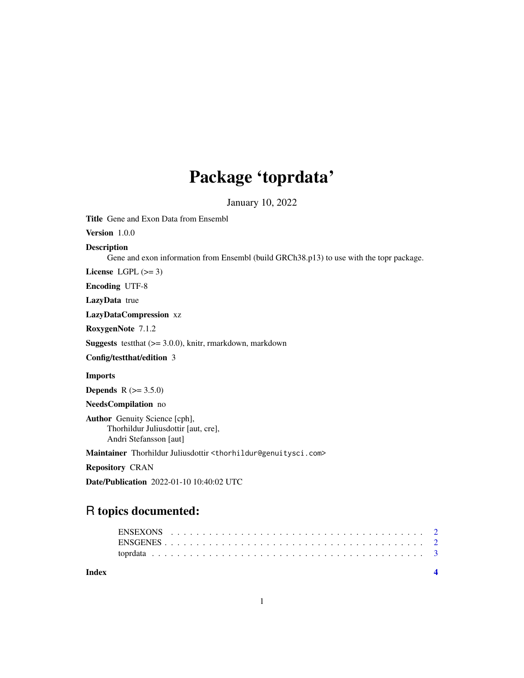## Package 'toprdata'

January 10, 2022

Title Gene and Exon Data from Ensembl

Version 1.0.0

Description

Gene and exon information from Ensembl (build GRCh38.p13) to use with the topr package.

License LGPL  $(>= 3)$ 

Encoding UTF-8

LazyData true

LazyDataCompression xz

RoxygenNote 7.1.2

**Suggests** testthat  $(>= 3.0.0)$ , knitr, rmarkdown, markdown

Config/testthat/edition 3

Imports

**Depends** R  $(>= 3.5.0)$ 

NeedsCompilation no

Author Genuity Science [cph], Thorhildur Juliusdottir [aut, cre], Andri Stefansson [aut]

Maintainer Thorhildur Juliusdottir <thorhildur@genuitysci.com>

Repository CRAN

Date/Publication 2022-01-10 10:40:02 UTC

## R topics documented:

**Index** [4](#page-3-0)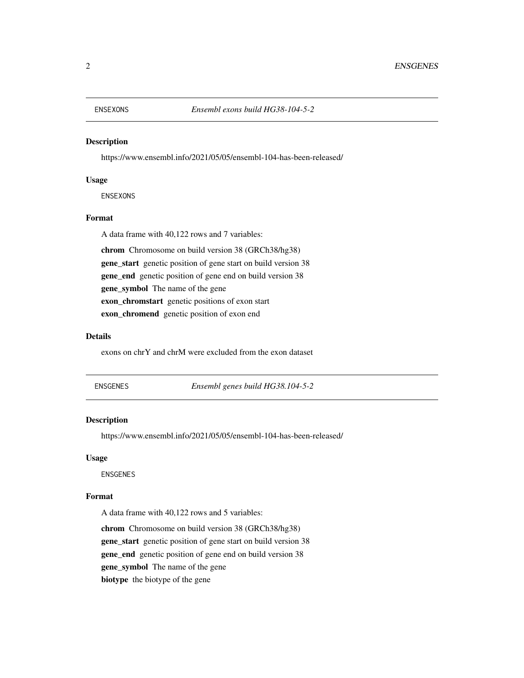<span id="page-1-2"></span><span id="page-1-0"></span>

#### Description

https://www.ensembl.info/2021/05/05/ensembl-104-has-been-released/

#### Usage

ENSEXONS

#### Format

A data frame with 40,122 rows and 7 variables:

chrom Chromosome on build version 38 (GRCh38/hg38) gene\_start genetic position of gene start on build version 38 gene\_end genetic position of gene end on build version 38 gene\_symbol The name of the gene exon\_chromstart genetic positions of exon start exon\_chromend genetic position of exon end

#### Details

exons on chrY and chrM were excluded from the exon dataset

<span id="page-1-1"></span>ENSGENES *Ensembl genes build HG38.104-5-2*

#### Description

https://www.ensembl.info/2021/05/05/ensembl-104-has-been-released/

#### Usage

ENSGENES

#### Format

A data frame with 40,122 rows and 5 variables:

chrom Chromosome on build version 38 (GRCh38/hg38) gene\_start genetic position of gene start on build version 38 gene\_end genetic position of gene end on build version 38 gene\_symbol The name of the gene biotype the biotype of the gene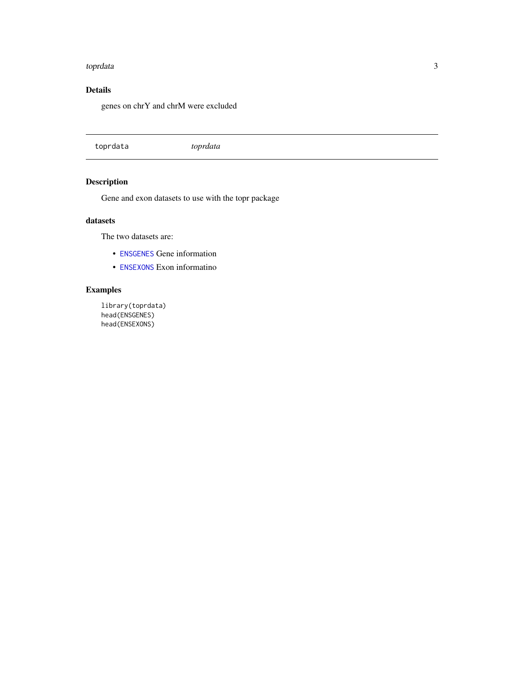#### <span id="page-2-0"></span>toprdata 3

#### Details

genes on chrY and chrM were excluded

toprdata *toprdata*

### Description

Gene and exon datasets to use with the topr package

#### datasets

The two datasets are:

- [ENSGENES](#page-1-1) Gene information
- [ENSEXONS](#page-1-2) Exon informatino

#### Examples

library(toprdata) head(ENSGENES) head(ENSEXONS)